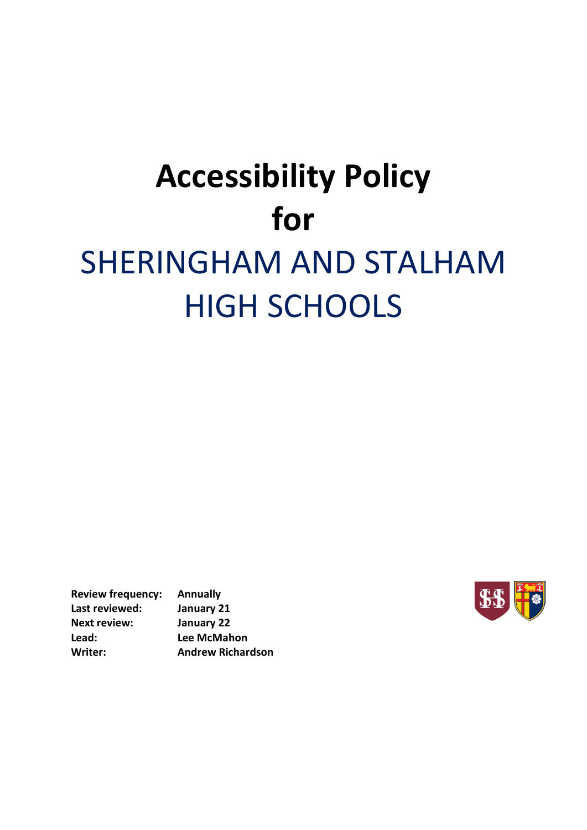# **Accessibility Policy for** SHERINGHAM AND STALHAM HIGH SCHOOLS

**Review frequency: Annually Last reviewed: January 21 Next review: January 22 Lead: Lee McMahon Writer: Andrew Richardson**

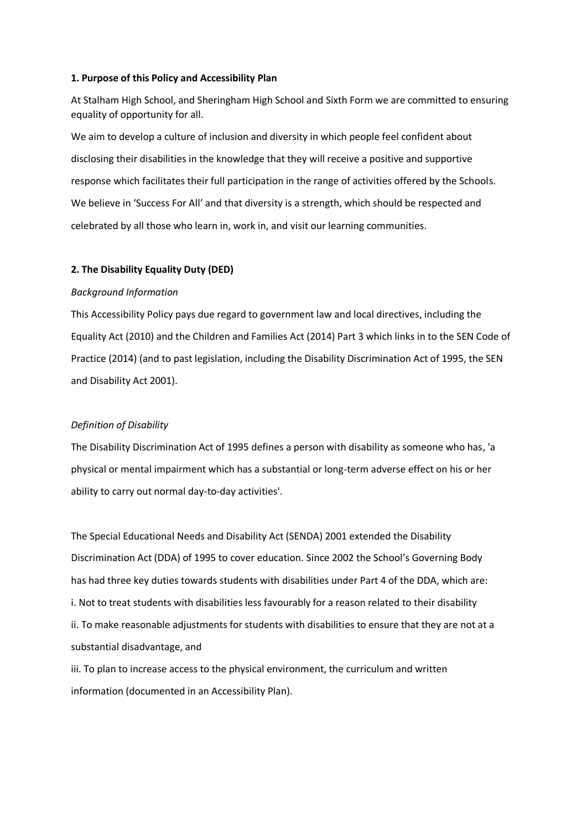#### **1. Purpose of this Policy and Accessibility Plan**

At Stalham High School, and Sheringham High School and Sixth Form we are committed to ensuring equality of opportunity for all.

We aim to develop a culture of inclusion and diversity in which people feel confident about disclosing their disabilities in the knowledge that they will receive a positive and supportive response which facilitates their full participation in the range of activities offered by the Schools. We believe in 'Success For All' and that diversity is a strength, which should be respected and celebrated by all those who learn in, work in, and visit our learning communities.

#### **2. The Disability Equality Duty (DED)**

#### *Background Information*

This Accessibility Policy pays due regard to government law and local directives, including the Equality Act (2010) and the Children and Families Act (2014) Part 3 which links in to the SEN Code of Practice (2014) (and to past legislation, including the Disability Discrimination Act of 1995, the SEN and Disability Act 2001).

#### *Definition of Disability*

The Disability Discrimination Act of 1995 defines a person with disability as someone who has, 'a physical or mental impairment which has a substantial or long-term adverse effect on his or her ability to carry out normal day-to-day activities'.

The Special Educational Needs and Disability Act (SENDA) 2001 extended the Disability Discrimination Act (DDA) of 1995 to cover education. Since 2002 the School's Governing Body has had three key duties towards students with disabilities under Part 4 of the DDA, which are: i. Not to treat students with disabilities less favourably for a reason related to their disability ii. To make reasonable adjustments for students with disabilities to ensure that they are not at a substantial disadvantage, and

iii. To plan to increase access to the physical environment, the curriculum and written information (documented in an Accessibility Plan).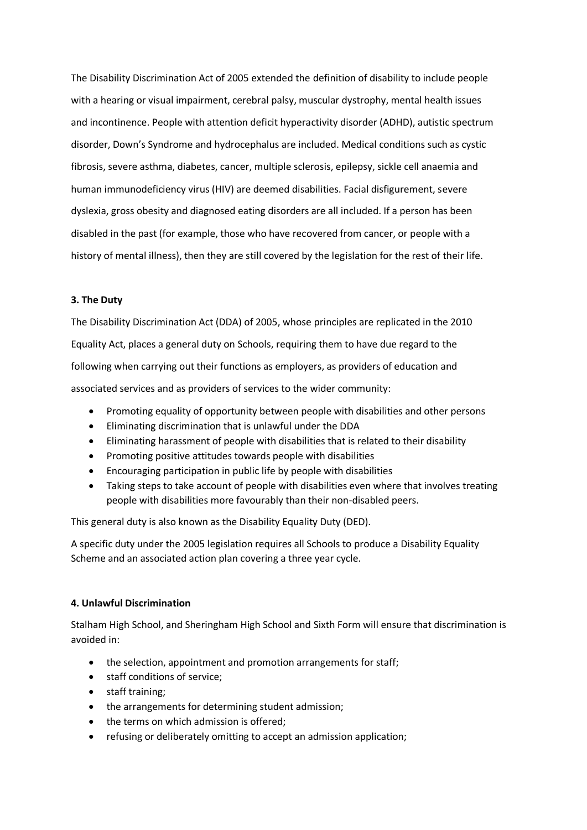The Disability Discrimination Act of 2005 extended the definition of disability to include people with a hearing or visual impairment, cerebral palsy, muscular dystrophy, mental health issues and incontinence. People with attention deficit hyperactivity disorder (ADHD), autistic spectrum disorder, Down's Syndrome and hydrocephalus are included. Medical conditions such as cystic fibrosis, severe asthma, diabetes, cancer, multiple sclerosis, epilepsy, sickle cell anaemia and human immunodeficiency virus (HIV) are deemed disabilities. Facial disfigurement, severe dyslexia, gross obesity and diagnosed eating disorders are all included. If a person has been disabled in the past (for example, those who have recovered from cancer, or people with a history of mental illness), then they are still covered by the legislation for the rest of their life.

#### **3. The Duty**

The Disability Discrimination Act (DDA) of 2005, whose principles are replicated in the 2010 Equality Act, places a general duty on Schools, requiring them to have due regard to the following when carrying out their functions as employers, as providers of education and associated services and as providers of services to the wider community:

- Promoting equality of opportunity between people with disabilities and other persons
- Eliminating discrimination that is unlawful under the DDA
- Eliminating harassment of people with disabilities that is related to their disability
- Promoting positive attitudes towards people with disabilities
- Encouraging participation in public life by people with disabilities
- Taking steps to take account of people with disabilities even where that involves treating people with disabilities more favourably than their non-disabled peers.

This general duty is also known as the Disability Equality Duty (DED).

A specific duty under the 2005 legislation requires all Schools to produce a Disability Equality Scheme and an associated action plan covering a three year cycle.

#### **4. Unlawful Discrimination**

Stalham High School, and Sheringham High School and Sixth Form will ensure that discrimination is avoided in:

- the selection, appointment and promotion arrangements for staff;
- staff conditions of service;
- staff training;
- the arrangements for determining student admission;
- the terms on which admission is offered;
- refusing or deliberately omitting to accept an admission application;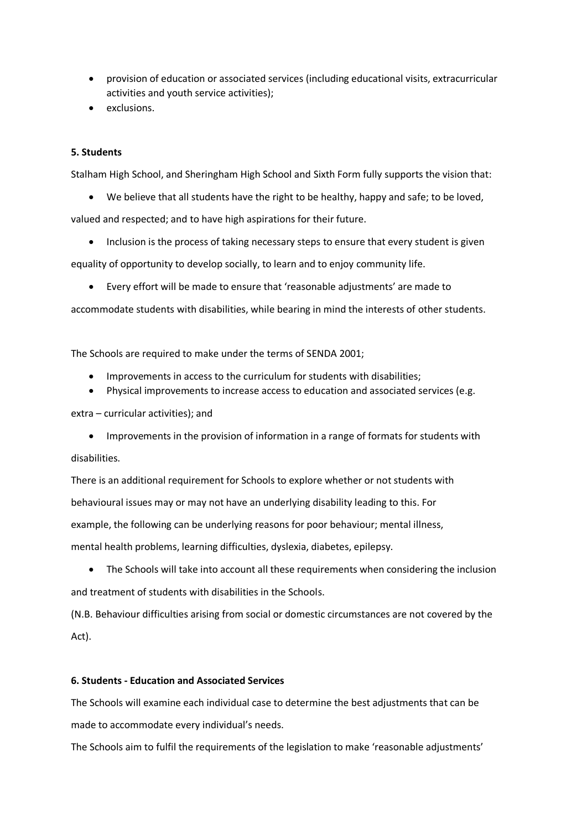- provision of education or associated services (including educational visits, extracurricular activities and youth service activities);
- exclusions.

#### **5. Students**

Stalham High School, and Sheringham High School and Sixth Form fully supports the vision that:

We believe that all students have the right to be healthy, happy and safe; to be loved,

valued and respected; and to have high aspirations for their future.

Inclusion is the process of taking necessary steps to ensure that every student is given

equality of opportunity to develop socially, to learn and to enjoy community life.

Every effort will be made to ensure that 'reasonable adjustments' are made to

accommodate students with disabilities, while bearing in mind the interests of other students.

The Schools are required to make under the terms of SENDA 2001;

- Improvements in access to the curriculum for students with disabilities;
- Physical improvements to increase access to education and associated services (e.g.

extra – curricular activities); and

 Improvements in the provision of information in a range of formats for students with disabilities.

There is an additional requirement for Schools to explore whether or not students with behavioural issues may or may not have an underlying disability leading to this. For example, the following can be underlying reasons for poor behaviour; mental illness, mental health problems, learning difficulties, dyslexia, diabetes, epilepsy.

 The Schools will take into account all these requirements when considering the inclusion and treatment of students with disabilities in the Schools.

(N.B. Behaviour difficulties arising from social or domestic circumstances are not covered by the Act).

#### **6. Students - Education and Associated Services**

The Schools will examine each individual case to determine the best adjustments that can be made to accommodate every individual's needs.

The Schools aim to fulfil the requirements of the legislation to make 'reasonable adjustments'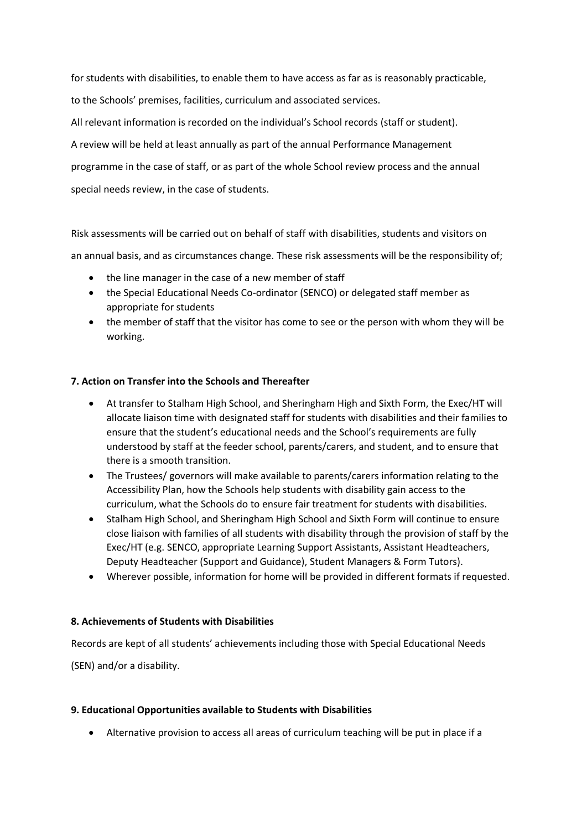for students with disabilities, to enable them to have access as far as is reasonably practicable,

to the Schools' premises, facilities, curriculum and associated services.

All relevant information is recorded on the individual's School records (staff or student).

A review will be held at least annually as part of the annual Performance Management

programme in the case of staff, or as part of the whole School review process and the annual

special needs review, in the case of students.

Risk assessments will be carried out on behalf of staff with disabilities, students and visitors on

an annual basis, and as circumstances change. These risk assessments will be the responsibility of;

- the line manager in the case of a new member of staff
- the Special Educational Needs Co-ordinator (SENCO) or delegated staff member as appropriate for students
- the member of staff that the visitor has come to see or the person with whom they will be working.

#### **7. Action on Transfer into the Schools and Thereafter**

- At transfer to Stalham High School, and Sheringham High and Sixth Form, the Exec/HT will allocate liaison time with designated staff for students with disabilities and their families to ensure that the student's educational needs and the School's requirements are fully understood by staff at the feeder school, parents/carers, and student, and to ensure that there is a smooth transition.
- The Trustees/ governors will make available to parents/carers information relating to the Accessibility Plan, how the Schools help students with disability gain access to the curriculum, what the Schools do to ensure fair treatment for students with disabilities.
- Stalham High School, and Sheringham High School and Sixth Form will continue to ensure close liaison with families of all students with disability through the provision of staff by the Exec/HT (e.g. SENCO, appropriate Learning Support Assistants, Assistant Headteachers, Deputy Headteacher (Support and Guidance), Student Managers & Form Tutors).
- Wherever possible, information for home will be provided in different formats if requested.

#### **8. Achievements of Students with Disabilities**

Records are kept of all students' achievements including those with Special Educational Needs

(SEN) and/or a disability.

#### **9. Educational Opportunities available to Students with Disabilities**

Alternative provision to access all areas of curriculum teaching will be put in place if a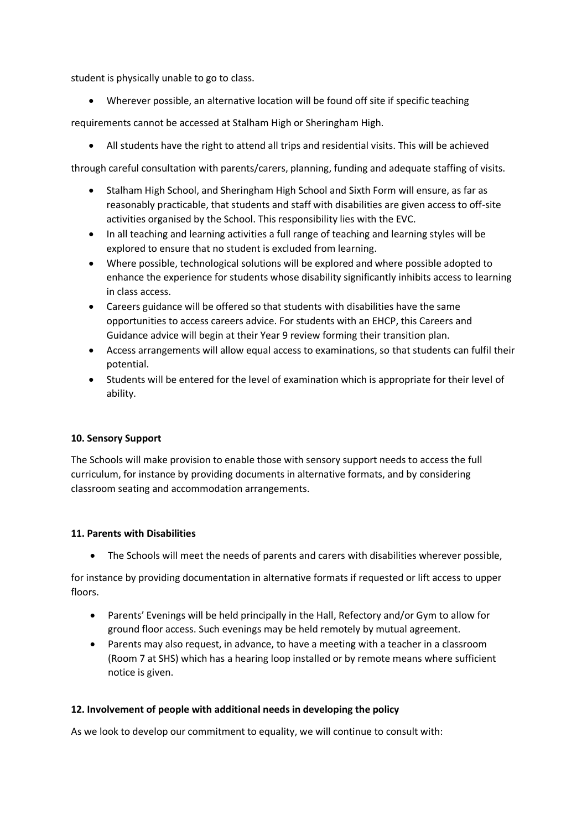student is physically unable to go to class.

Wherever possible, an alternative location will be found off site if specific teaching

requirements cannot be accessed at Stalham High or Sheringham High.

All students have the right to attend all trips and residential visits. This will be achieved

through careful consultation with parents/carers, planning, funding and adequate staffing of visits.

- Stalham High School, and Sheringham High School and Sixth Form will ensure, as far as reasonably practicable, that students and staff with disabilities are given access to off-site activities organised by the School. This responsibility lies with the EVC.
- In all teaching and learning activities a full range of teaching and learning styles will be explored to ensure that no student is excluded from learning.
- Where possible, technological solutions will be explored and where possible adopted to enhance the experience for students whose disability significantly inhibits access to learning in class access.
- Careers guidance will be offered so that students with disabilities have the same opportunities to access careers advice. For students with an EHCP, this Careers and Guidance advice will begin at their Year 9 review forming their transition plan.
- Access arrangements will allow equal access to examinations, so that students can fulfil their potential.
- Students will be entered for the level of examination which is appropriate for their level of ability.

## **10. Sensory Support**

The Schools will make provision to enable those with sensory support needs to access the full curriculum, for instance by providing documents in alternative formats, and by considering classroom seating and accommodation arrangements.

## **11. Parents with Disabilities**

The Schools will meet the needs of parents and carers with disabilities wherever possible,

for instance by providing documentation in alternative formats if requested or lift access to upper floors.

- Parents' Evenings will be held principally in the Hall, Refectory and/or Gym to allow for ground floor access. Such evenings may be held remotely by mutual agreement.
- Parents may also request, in advance, to have a meeting with a teacher in a classroom (Room 7 at SHS) which has a hearing loop installed or by remote means where sufficient notice is given.

## **12. Involvement of people with additional needs in developing the policy**

As we look to develop our commitment to equality, we will continue to consult with: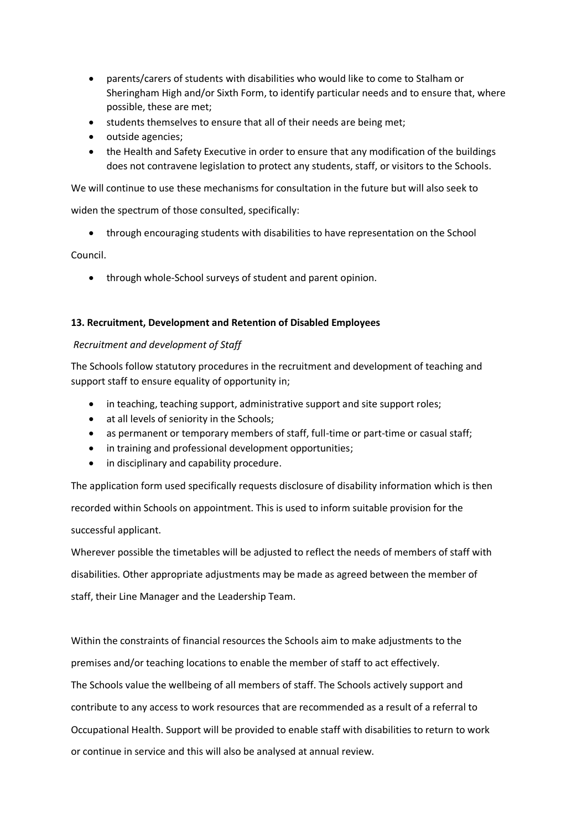- parents/carers of students with disabilities who would like to come to Stalham or Sheringham High and/or Sixth Form, to identify particular needs and to ensure that, where possible, these are met;
- students themselves to ensure that all of their needs are being met;
- outside agencies;
- the Health and Safety Executive in order to ensure that any modification of the buildings does not contravene legislation to protect any students, staff, or visitors to the Schools.

We will continue to use these mechanisms for consultation in the future but will also seek to

widen the spectrum of those consulted, specifically:

through encouraging students with disabilities to have representation on the School

Council.

through whole-School surveys of student and parent opinion.

#### **13. Recruitment, Development and Retention of Disabled Employees**

#### *Recruitment and development of Staff*

The Schools follow statutory procedures in the recruitment and development of teaching and support staff to ensure equality of opportunity in;

- in teaching, teaching support, administrative support and site support roles;
- at all levels of seniority in the Schools;
- as permanent or temporary members of staff, full-time or part-time or casual staff;
- in training and professional development opportunities;
- in disciplinary and capability procedure.

The application form used specifically requests disclosure of disability information which is then recorded within Schools on appointment. This is used to inform suitable provision for the successful applicant.

Wherever possible the timetables will be adjusted to reflect the needs of members of staff with disabilities. Other appropriate adjustments may be made as agreed between the member of staff, their Line Manager and the Leadership Team.

Within the constraints of financial resources the Schools aim to make adjustments to the premises and/or teaching locations to enable the member of staff to act effectively. The Schools value the wellbeing of all members of staff. The Schools actively support and contribute to any access to work resources that are recommended as a result of a referral to Occupational Health. Support will be provided to enable staff with disabilities to return to work or continue in service and this will also be analysed at annual review.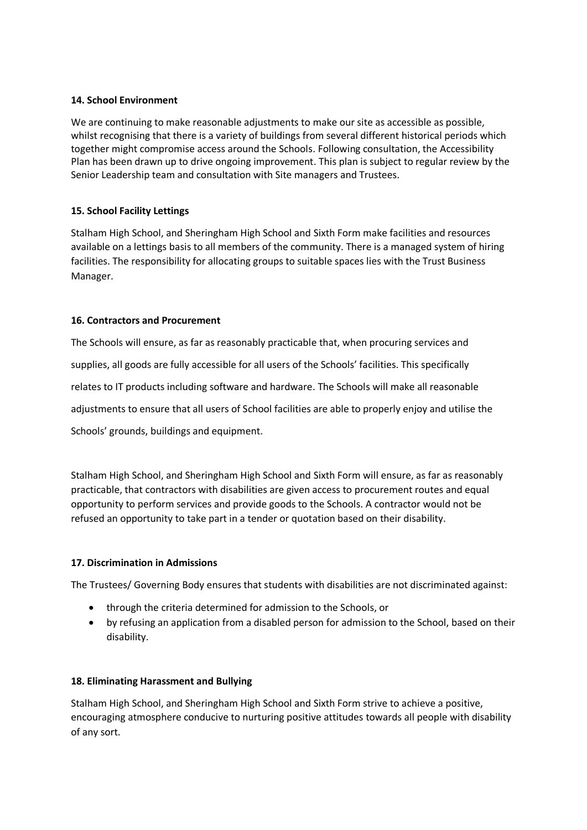## **14. School Environment**

We are continuing to make reasonable adjustments to make our site as accessible as possible, whilst recognising that there is a variety of buildings from several different historical periods which together might compromise access around the Schools. Following consultation, the Accessibility Plan has been drawn up to drive ongoing improvement. This plan is subject to regular review by the Senior Leadership team and consultation with Site managers and Trustees.

#### **15. School Facility Lettings**

Stalham High School, and Sheringham High School and Sixth Form make facilities and resources available on a lettings basis to all members of the community. There is a managed system of hiring facilities. The responsibility for allocating groups to suitable spaces lies with the Trust Business Manager.

#### **16. Contractors and Procurement**

The Schools will ensure, as far as reasonably practicable that, when procuring services and supplies, all goods are fully accessible for all users of the Schools' facilities. This specifically relates to IT products including software and hardware. The Schools will make all reasonable adjustments to ensure that all users of School facilities are able to properly enjoy and utilise the Schools' grounds, buildings and equipment.

Stalham High School, and Sheringham High School and Sixth Form will ensure, as far as reasonably practicable, that contractors with disabilities are given access to procurement routes and equal opportunity to perform services and provide goods to the Schools. A contractor would not be refused an opportunity to take part in a tender or quotation based on their disability.

## **17. Discrimination in Admissions**

The Trustees/ Governing Body ensures that students with disabilities are not discriminated against:

- through the criteria determined for admission to the Schools, or
- by refusing an application from a disabled person for admission to the School, based on their disability.

#### **18. Eliminating Harassment and Bullying**

Stalham High School, and Sheringham High School and Sixth Form strive to achieve a positive, encouraging atmosphere conducive to nurturing positive attitudes towards all people with disability of any sort.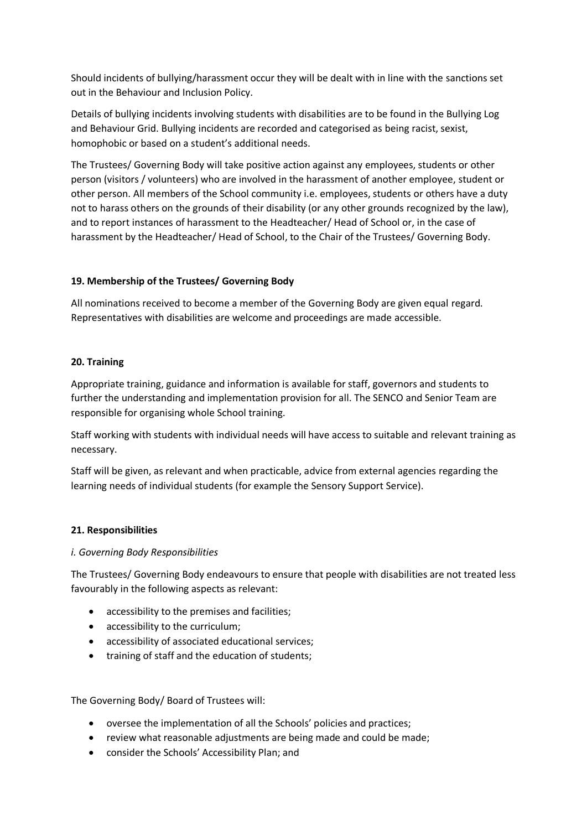Should incidents of bullying/harassment occur they will be dealt with in line with the sanctions set out in the Behaviour and Inclusion Policy.

Details of bullying incidents involving students with disabilities are to be found in the Bullying Log and Behaviour Grid. Bullying incidents are recorded and categorised as being racist, sexist, homophobic or based on a student's additional needs.

The Trustees/ Governing Body will take positive action against any employees, students or other person (visitors / volunteers) who are involved in the harassment of another employee, student or other person. All members of the School community i.e. employees, students or others have a duty not to harass others on the grounds of their disability (or any other grounds recognized by the law), and to report instances of harassment to the Headteacher/ Head of School or, in the case of harassment by the Headteacher/ Head of School, to the Chair of the Trustees/ Governing Body.

## **19. Membership of the Trustees/ Governing Body**

All nominations received to become a member of the Governing Body are given equal regard. Representatives with disabilities are welcome and proceedings are made accessible.

## **20. Training**

Appropriate training, guidance and information is available for staff, governors and students to further the understanding and implementation provision for all. The SENCO and Senior Team are responsible for organising whole School training.

Staff working with students with individual needs will have access to suitable and relevant training as necessary.

Staff will be given, as relevant and when practicable, advice from external agencies regarding the learning needs of individual students (for example the Sensory Support Service).

## **21. Responsibilities**

#### *i. Governing Body Responsibilities*

The Trustees/ Governing Body endeavours to ensure that people with disabilities are not treated less favourably in the following aspects as relevant:

- accessibility to the premises and facilities;
- accessibility to the curriculum;
- accessibility of associated educational services;
- training of staff and the education of students;

The Governing Body/ Board of Trustees will:

- oversee the implementation of all the Schools' policies and practices;
- review what reasonable adjustments are being made and could be made;
- consider the Schools' Accessibility Plan; and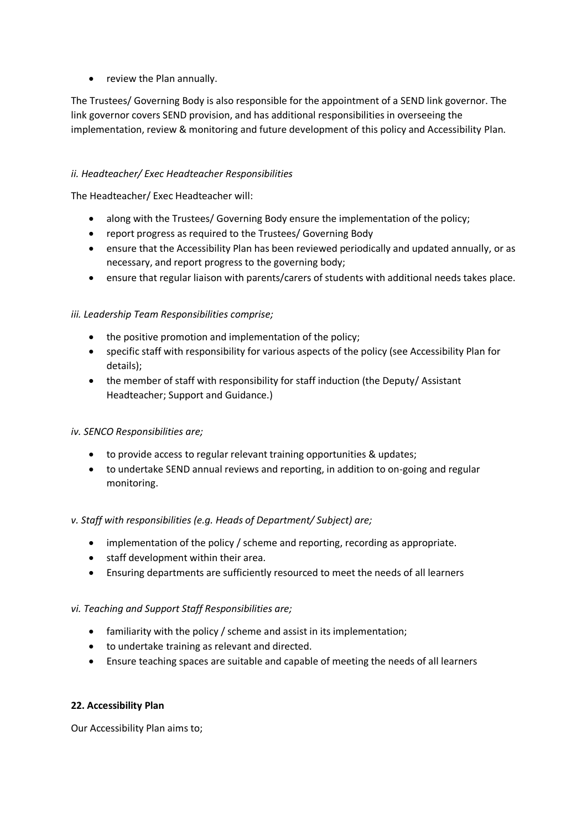• review the Plan annually.

The Trustees/ Governing Body is also responsible for the appointment of a SEND link governor. The link governor covers SEND provision, and has additional responsibilities in overseeing the implementation, review & monitoring and future development of this policy and Accessibility Plan.

## *ii. Headteacher/ Exec Headteacher Responsibilities*

The Headteacher/ Exec Headteacher will:

- along with the Trustees/ Governing Body ensure the implementation of the policy;
- report progress as required to the Trustees/ Governing Body
- ensure that the Accessibility Plan has been reviewed periodically and updated annually, or as necessary, and report progress to the governing body;
- ensure that regular liaison with parents/carers of students with additional needs takes place.

# *iii. Leadership Team Responsibilities comprise;*

- the positive promotion and implementation of the policy;
- specific staff with responsibility for various aspects of the policy (see Accessibility Plan for details);
- the member of staff with responsibility for staff induction (the Deputy/ Assistant Headteacher; Support and Guidance.)

## *iv. SENCO Responsibilities are;*

- to provide access to regular relevant training opportunities & updates;
- to undertake SEND annual reviews and reporting, in addition to on-going and regular monitoring.

## *v. Staff with responsibilities (e.g. Heads of Department/ Subject) are;*

- implementation of the policy / scheme and reporting, recording as appropriate.
- staff development within their area.
- Ensuring departments are sufficiently resourced to meet the needs of all learners

## *vi. Teaching and Support Staff Responsibilities are;*

- familiarity with the policy / scheme and assist in its implementation;
- to undertake training as relevant and directed.
- Ensure teaching spaces are suitable and capable of meeting the needs of all learners

## **22. Accessibility Plan**

Our Accessibility Plan aims to;